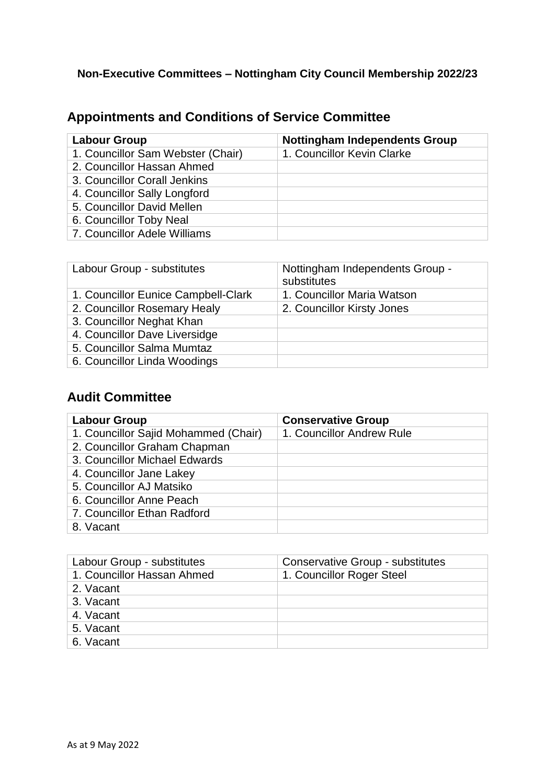## **Non-Executive Committees – Nottingham City Council Membership 2022/23**

# **Appointments and Conditions of Service Committee**

| <b>Labour Group</b>               | <b>Nottingham Independents Group</b> |
|-----------------------------------|--------------------------------------|
| 1. Councillor Sam Webster (Chair) | 1. Councillor Kevin Clarke           |
| 2. Councillor Hassan Ahmed        |                                      |
| 3. Councillor Corall Jenkins      |                                      |
| 4. Councillor Sally Longford      |                                      |
| 5. Councillor David Mellen        |                                      |
| 6. Councillor Toby Neal           |                                      |
| 7. Councillor Adele Williams      |                                      |

| Labour Group - substitutes          | Nottingham Independents Group -<br>substitutes |
|-------------------------------------|------------------------------------------------|
| 1. Councillor Eunice Campbell-Clark | 1. Councillor Maria Watson                     |
| 2. Councillor Rosemary Healy        | 2. Councillor Kirsty Jones                     |
| 3. Councillor Neghat Khan           |                                                |
| 4. Councillor Dave Liversidge       |                                                |
| 5. Councillor Salma Mumtaz          |                                                |
| 6. Councillor Linda Woodings        |                                                |

# **Audit Committee**

| <b>Labour Group</b>                  | <b>Conservative Group</b> |
|--------------------------------------|---------------------------|
| 1. Councillor Sajid Mohammed (Chair) | 1. Councillor Andrew Rule |
| 2. Councillor Graham Chapman         |                           |
| 3. Councillor Michael Edwards        |                           |
| 4. Councillor Jane Lakey             |                           |
| 5. Councillor AJ Matsiko             |                           |
| 6. Councillor Anne Peach             |                           |
| 7. Councillor Ethan Radford          |                           |
| 8. Vacant                            |                           |

| Labour Group - substitutes | <b>Conservative Group - substitutes</b> |
|----------------------------|-----------------------------------------|
| 1. Councillor Hassan Ahmed | 1. Councillor Roger Steel               |
| 2. Vacant                  |                                         |
| 3. Vacant                  |                                         |
| 4. Vacant                  |                                         |
| 5. Vacant                  |                                         |
| 6. Vacant                  |                                         |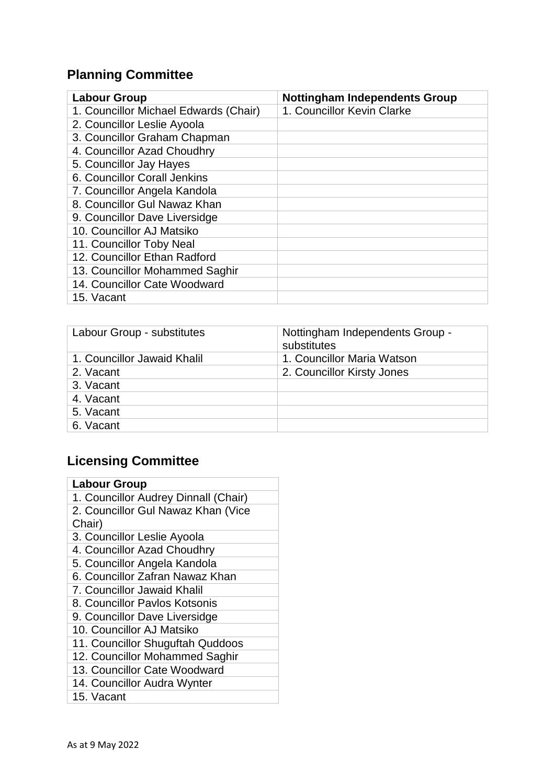# **Planning Committee**

| <b>Labour Group</b>                   | <b>Nottingham Independents Group</b> |
|---------------------------------------|--------------------------------------|
| 1. Councillor Michael Edwards (Chair) | 1. Councillor Kevin Clarke           |
| 2. Councillor Leslie Ayoola           |                                      |
| 3. Councillor Graham Chapman          |                                      |
| 4. Councillor Azad Choudhry           |                                      |
| 5. Councillor Jay Hayes               |                                      |
| 6. Councillor Corall Jenkins          |                                      |
| 7. Councillor Angela Kandola          |                                      |
| 8. Councillor Gul Nawaz Khan          |                                      |
| 9. Councillor Dave Liversidge         |                                      |
| 10. Councillor AJ Matsiko             |                                      |
| 11. Councillor Toby Neal              |                                      |
| 12. Councillor Ethan Radford          |                                      |
| 13. Councillor Mohammed Saghir        |                                      |
| 14. Councillor Cate Woodward          |                                      |
| 15. Vacant                            |                                      |

| Labour Group - substitutes  | Nottingham Independents Group -<br>substitutes |
|-----------------------------|------------------------------------------------|
| 1. Councillor Jawaid Khalil | 1. Councillor Maria Watson                     |
| 2. Vacant                   | 2. Councillor Kirsty Jones                     |
| 3. Vacant                   |                                                |
| 4. Vacant                   |                                                |
| 5. Vacant                   |                                                |
| 6. Vacant                   |                                                |

# **Licensing Committee**

| <b>Labour Group</b>                  |
|--------------------------------------|
| 1. Councillor Audrey Dinnall (Chair) |
| 2. Councillor Gul Nawaz Khan (Vice   |
| Chair)                               |
| 3. Councillor Leslie Ayoola          |
| 4. Councillor Azad Choudhry          |
| 5. Councillor Angela Kandola         |
| 6. Councillor Zafran Nawaz Khan      |
| 7. Councillor Jawaid Khalil          |
| 8. Councillor Paylos Kotsonis        |
| 9. Councillor Dave Liversidge        |
| 10. Councillor AJ Matsiko            |
| 11. Councillor Shuguftah Quddoos     |
| 12. Councillor Mohammed Saghir       |
| 13. Councillor Cate Woodward         |
| 14. Councillor Audra Wynter          |
| 15. Vacant                           |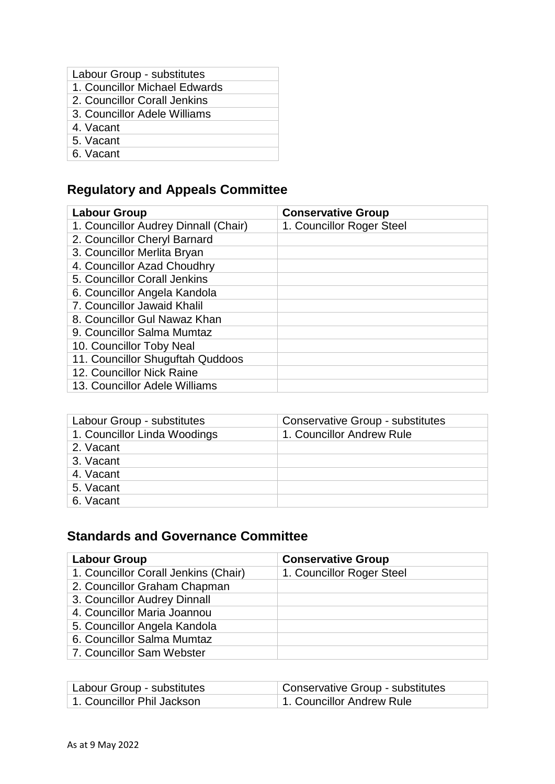| Labour Group - substitutes    |  |
|-------------------------------|--|
| 1. Councillor Michael Edwards |  |
| 2. Councillor Corall Jenkins  |  |
| 3. Councillor Adele Williams  |  |
| 4. Vacant                     |  |
| 5. Vacant                     |  |
| 6. Vacant                     |  |

# **Regulatory and Appeals Committee**

| <b>Labour Group</b>                  | <b>Conservative Group</b> |
|--------------------------------------|---------------------------|
| 1. Councillor Audrey Dinnall (Chair) | 1. Councillor Roger Steel |
| 2. Councillor Cheryl Barnard         |                           |
| 3. Councillor Merlita Bryan          |                           |
| 4. Councillor Azad Choudhry          |                           |
| 5. Councillor Corall Jenkins         |                           |
| 6. Councillor Angela Kandola         |                           |
| 7. Councillor Jawaid Khalil          |                           |
| 8. Councillor Gul Nawaz Khan         |                           |
| 9. Councillor Salma Mumtaz           |                           |
| 10. Councillor Toby Neal             |                           |
| 11. Councillor Shuguftah Quddoos     |                           |
| 12. Councillor Nick Raine            |                           |
| 13. Councillor Adele Williams        |                           |

| Labour Group - substitutes   | <b>Conservative Group - substitutes</b> |
|------------------------------|-----------------------------------------|
| 1. Councillor Linda Woodings | 1. Councillor Andrew Rule               |
| 2. Vacant                    |                                         |
| 3. Vacant                    |                                         |
| 4. Vacant                    |                                         |
| 5. Vacant                    |                                         |
| 6. Vacant                    |                                         |

## **Standards and Governance Committee**

| <b>Labour Group</b>                  | <b>Conservative Group</b> |
|--------------------------------------|---------------------------|
| 1. Councillor Corall Jenkins (Chair) | 1. Councillor Roger Steel |
| 2. Councillor Graham Chapman         |                           |
| 3. Councillor Audrey Dinnall         |                           |
| 4. Councillor Maria Joannou          |                           |
| 5. Councillor Angela Kandola         |                           |
| 6. Councillor Salma Mumtaz           |                           |
| 7. Councillor Sam Webster            |                           |

| Labour Group - substitutes | Conservative Group - substitutes |
|----------------------------|----------------------------------|
| 1. Councillor Phil Jackson | 1. Councillor Andrew Rule        |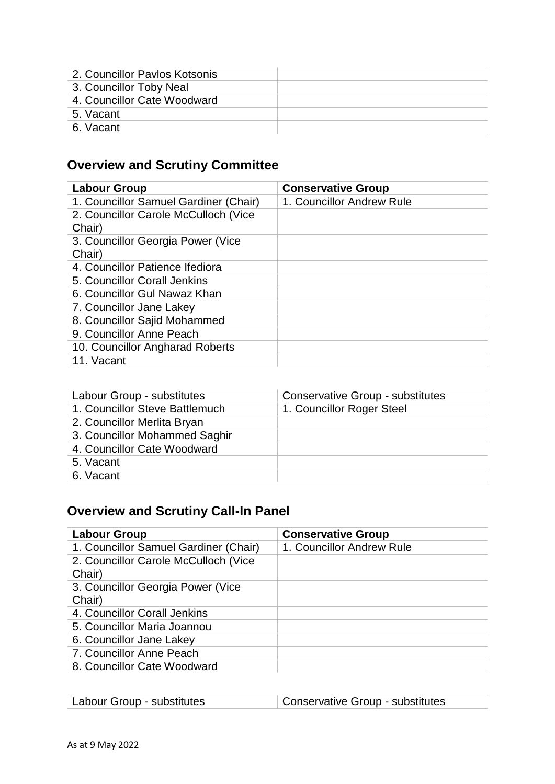| 2. Councillor Paylos Kotsonis |  |
|-------------------------------|--|
| 3. Councillor Toby Neal       |  |
| 4. Councillor Cate Woodward   |  |
| 5. Vacant                     |  |
| 6. Vacant                     |  |
|                               |  |

# **Overview and Scrutiny Committee**

| <b>Labour Group</b>                   | <b>Conservative Group</b> |
|---------------------------------------|---------------------------|
| 1. Councillor Samuel Gardiner (Chair) | 1. Councillor Andrew Rule |
| 2. Councillor Carole McCulloch (Vice  |                           |
| Chair)                                |                           |
| 3. Councillor Georgia Power (Vice     |                           |
| Chair)                                |                           |
| 4. Councillor Patience Ifediora       |                           |
| 5. Councillor Corall Jenkins          |                           |
| 6. Councillor Gul Nawaz Khan          |                           |
| 7. Councillor Jane Lakey              |                           |
| 8. Councillor Sajid Mohammed          |                           |
| 9. Councillor Anne Peach              |                           |
| 10. Councillor Angharad Roberts       |                           |
| 11. Vacant                            |                           |

| Labour Group - substitutes     | <b>Conservative Group - substitutes</b> |
|--------------------------------|-----------------------------------------|
| 1. Councillor Steve Battlemuch | 1. Councillor Roger Steel               |
| 2. Councillor Merlita Bryan    |                                         |
| 3. Councillor Mohammed Saghir  |                                         |
| 4. Councillor Cate Woodward    |                                         |
| 5. Vacant                      |                                         |
| 6. Vacant                      |                                         |

# **Overview and Scrutiny Call-In Panel**

| <b>Labour Group</b>                   | <b>Conservative Group</b> |
|---------------------------------------|---------------------------|
| 1. Councillor Samuel Gardiner (Chair) | 1. Councillor Andrew Rule |
| 2. Councillor Carole McCulloch (Vice  |                           |
| Chair)                                |                           |
| 3. Councillor Georgia Power (Vice     |                           |
| Chair)                                |                           |
| 4. Councillor Corall Jenkins          |                           |
| 5. Councillor Maria Joannou           |                           |
| 6. Councillor Jane Lakey              |                           |
| 7. Councillor Anne Peach              |                           |
| 8. Councillor Cate Woodward           |                           |

| Labour Group - substitutes | Conservative Group - substitutes |
|----------------------------|----------------------------------|
|                            |                                  |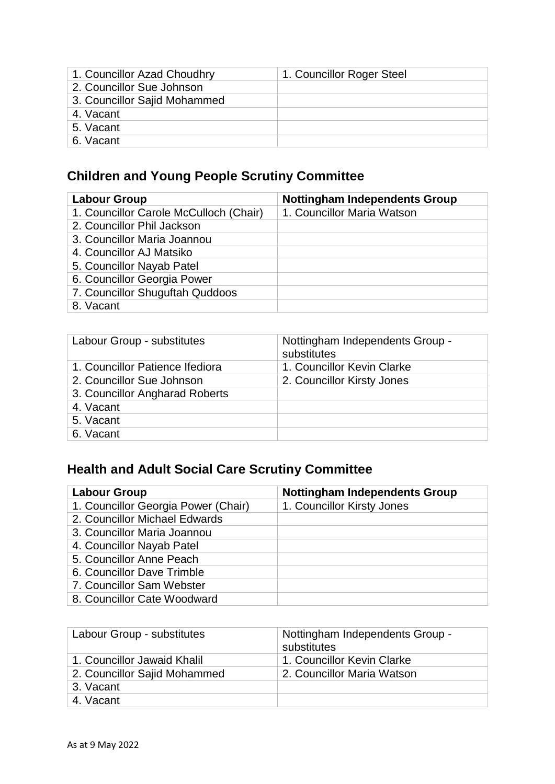| 1. Councillor Azad Choudhry  | 1. Councillor Roger Steel |
|------------------------------|---------------------------|
| 2. Councillor Sue Johnson    |                           |
| 3. Councillor Sajid Mohammed |                           |
| 4. Vacant                    |                           |
| 5. Vacant                    |                           |
| 6. Vacant                    |                           |

# **Children and Young People Scrutiny Committee**

| <b>Labour Group</b>                    | <b>Nottingham Independents Group</b> |
|----------------------------------------|--------------------------------------|
| 1. Councillor Carole McCulloch (Chair) | 1. Councillor Maria Watson           |
| 2. Councillor Phil Jackson             |                                      |
| 3. Councillor Maria Joannou            |                                      |
| 4. Councillor AJ Matsiko               |                                      |
| 5. Councillor Nayab Patel              |                                      |
| 6. Councillor Georgia Power            |                                      |
| 7. Councillor Shuguftah Quddoos        |                                      |
| 8. Vacant                              |                                      |

| Labour Group - substitutes      | Nottingham Independents Group -<br>substitutes |
|---------------------------------|------------------------------------------------|
| 1. Councillor Patience Ifediora | 1. Councillor Kevin Clarke                     |
| 2. Councillor Sue Johnson       | 2. Councillor Kirsty Jones                     |
| 3. Councillor Angharad Roberts  |                                                |
| 4. Vacant                       |                                                |
| 5. Vacant                       |                                                |
| 6. Vacant                       |                                                |

# **Health and Adult Social Care Scrutiny Committee**

| <b>Labour Group</b>                 | <b>Nottingham Independents Group</b> |
|-------------------------------------|--------------------------------------|
| 1. Councillor Georgia Power (Chair) | 1. Councillor Kirsty Jones           |
| 2. Councillor Michael Edwards       |                                      |
| 3. Councillor Maria Joannou         |                                      |
| 4. Councillor Nayab Patel           |                                      |
| 5. Councillor Anne Peach            |                                      |
| 6. Councillor Dave Trimble          |                                      |
| 7. Councillor Sam Webster           |                                      |
| 8. Councillor Cate Woodward         |                                      |

| Labour Group - substitutes   | Nottingham Independents Group -<br>substitutes |
|------------------------------|------------------------------------------------|
| 1. Councillor Jawaid Khalil  | 1. Councillor Kevin Clarke                     |
| 2. Councillor Sajid Mohammed | 2. Councillor Maria Watson                     |
| 3. Vacant                    |                                                |
| 4. Vacant                    |                                                |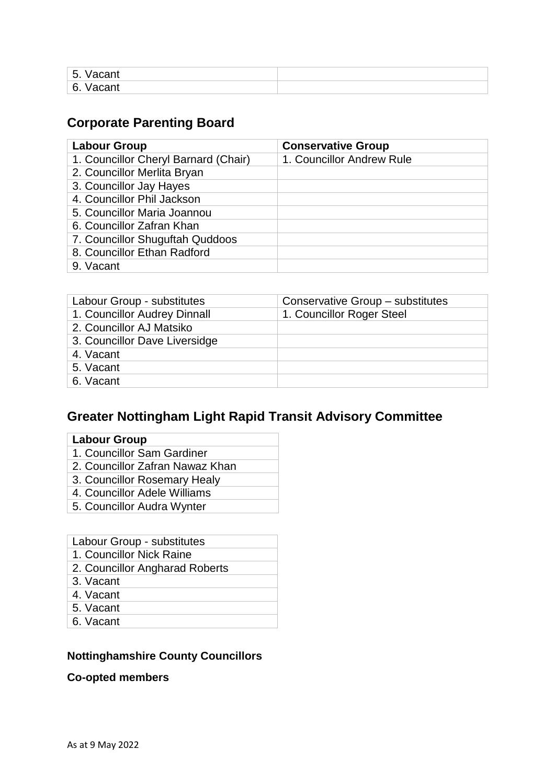| Ε<br>⊇≌acan⊾<br>. ပ.       |  |
|----------------------------|--|
| $\epsilon$<br>vacanı<br>Ο. |  |

## **Corporate Parenting Board**

| <b>Labour Group</b>                  | <b>Conservative Group</b> |
|--------------------------------------|---------------------------|
| 1. Councillor Cheryl Barnard (Chair) | 1. Councillor Andrew Rule |
| 2. Councillor Merlita Bryan          |                           |
| 3. Councillor Jay Hayes              |                           |
| 4. Councillor Phil Jackson           |                           |
| 5. Councillor Maria Joannou          |                           |
| 6. Councillor Zafran Khan            |                           |
| 7. Councillor Shuguftah Quddoos      |                           |
| 8. Councillor Ethan Radford          |                           |
| 9. Vacant                            |                           |

| Labour Group - substitutes    | Conservative Group - substitutes |
|-------------------------------|----------------------------------|
| 1. Councillor Audrey Dinnall  | 1. Councillor Roger Steel        |
| 2. Councillor AJ Matsiko      |                                  |
| 3. Councillor Dave Liversidge |                                  |
| 4. Vacant                     |                                  |
| 5. Vacant                     |                                  |
| 6. Vacant                     |                                  |

## **Greater Nottingham Light Rapid Transit Advisory Committee**

| our Gr |  |
|--------|--|
|        |  |

- 1. Councillor Sam Gardiner
- 2. Councillor Zafran Nawaz Khan
- 3. Councillor Rosemary Healy
- 4. Councillor Adele Williams
- 5. Councillor Audra Wynter

#### Labour Group - substitutes

- 1. Councillor Nick Raine
- 2. Councillor Angharad Roberts
- 3. Vacant
- 4. Vacant
- 5. Vacant
- 6. Vacant

### **Nottinghamshire County Councillors**

#### **Co-opted members**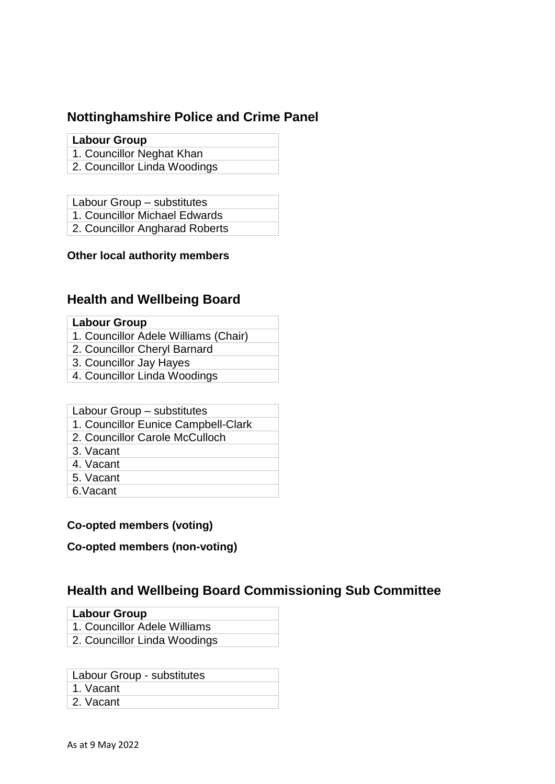# **Nottinghamshire Police and Crime Panel**

### **Labour Group**

- 1. Councillor Neghat Khan
- 2. Councillor Linda Woodings
- Labour Group substitutes
- 1. Councillor Michael Edwards
- 2. Councillor Angharad Roberts

### **Other local authority members**

## **Health and Wellbeing Board**

#### **Labour Group**

- 1. Councillor Adele Williams (Chair)
- 2. Councillor Cheryl Barnard
- 3. Councillor Jay Hayes
- 4. Councillor Linda Woodings

### Labour Group – substitutes

- 1. Councillor Eunice Campbell-Clark
- 2. Councillor Carole McCulloch
- 3. Vacant
- 4. Vacant
- 5. Vacant
- 6.Vacant

### **Co-opted members (voting)**

### **Co-opted members (non-voting)**

## **Health and Wellbeing Board Commissioning Sub Committee**

#### **Labour Group**

- 1. Councillor Adele Williams
- 2. Councillor Linda Woodings

Labour Group - substitutes

- 1. Vacant
- 2. Vacant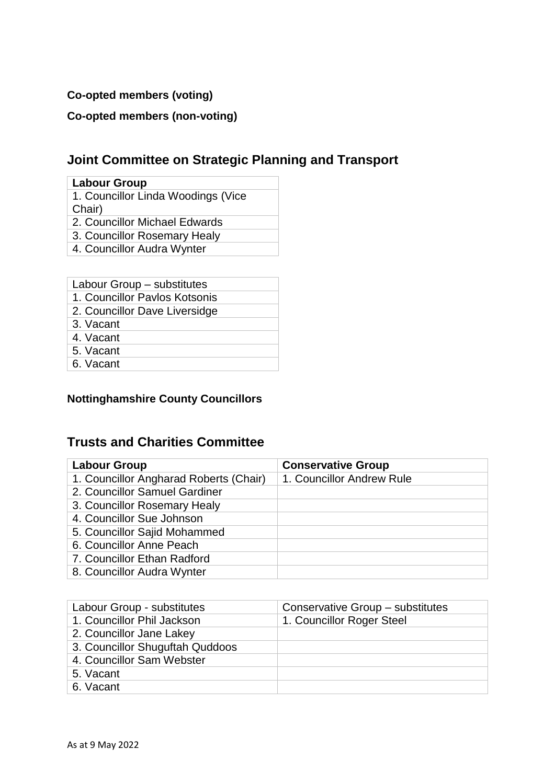### **Co-opted members (voting)**

## **Co-opted members (non-voting)**

## **Joint Committee on Strategic Planning and Transport**

#### **Labour Group**

- 1. Councillor Linda Woodings (Vice Chair)
- 2. Councillor Michael Edwards
- 3. Councillor Rosemary Healy
- 4. Councillor Audra Wynter

- 1. Councillor Pavlos Kotsonis
- 2. Councillor Dave Liversidge
- 3. Vacant
- 4. Vacant
- 5. Vacant
- 6. Vacant

## **Nottinghamshire County Councillors**

## **Trusts and Charities Committee**

| <b>Labour Group</b>                    | <b>Conservative Group</b> |
|----------------------------------------|---------------------------|
| 1. Councillor Angharad Roberts (Chair) | 1. Councillor Andrew Rule |
| 2. Councillor Samuel Gardiner          |                           |
| 3. Councillor Rosemary Healy           |                           |
| 4. Councillor Sue Johnson              |                           |
| 5. Councillor Sajid Mohammed           |                           |
| 6. Councillor Anne Peach               |                           |
| 7. Councillor Ethan Radford            |                           |
| 8. Councillor Audra Wynter             |                           |

| Labour Group - substitutes      | Conservative Group - substitutes |
|---------------------------------|----------------------------------|
| 1. Councillor Phil Jackson      | 1. Councillor Roger Steel        |
| 2. Councillor Jane Lakey        |                                  |
| 3. Councillor Shuguftah Quddoos |                                  |
| 4. Councillor Sam Webster       |                                  |
| 5. Vacant                       |                                  |
| 6. Vacant                       |                                  |